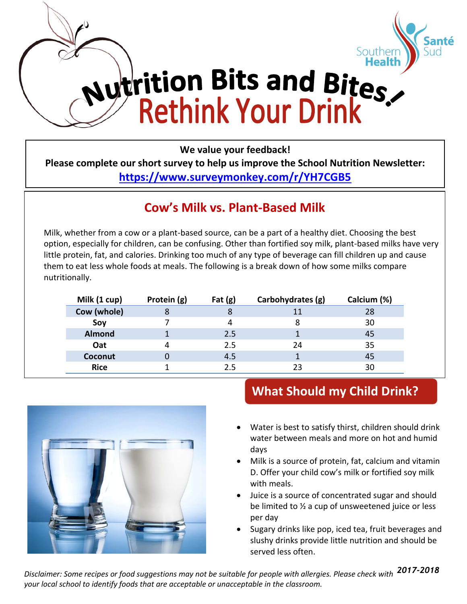

**We value your feedback! Please complete our short survey to help us improve the School Nutrition Newsletter: <https://www.surveymonkey.com/r/YH7CGB5>**

## **Cow's Milk vs. Plant-Based Milk**

Milk, whether from a cow or a plant-based source, can be a part of a healthy diet. Choosing the best option, especially for children, can be confusing. Other than fortified soy milk, plant-based milks have very little protein, fat, and calories. Drinking too much of any type of beverage can fill children up and cause them to eat less whole foods at meals. The following is a break down of how some milks compare nutritionally.

| Milk (1 cup)  | Protein (g) | Fat $(g)$ | Carbohydrates (g) | Calcium (%) |
|---------------|-------------|-----------|-------------------|-------------|
| Cow (whole)   |             |           |                   | 28          |
| Soy           |             | Δ         |                   | 30          |
| <b>Almond</b> |             | 2.5       |                   | 45          |
| Oat           |             | 2.5       | 24                | 35          |
| Coconut       |             | 4.5       |                   | 45          |
| <b>Rice</b>   |             | 2.5       |                   | 30          |



# **What Should my Child Drink?**

- Water is best to satisfy thirst, children should drink water between meals and more on hot and humid days
- Milk is a source of protein, fat, calcium and vitamin D. Offer your child cow's milk or fortified soy milk with meals.
- Juice is a source of concentrated sugar and should be limited to ½ a cup of unsweetened juice or less per day
- Sugary drinks like pop, iced tea, fruit beverages and slushy drinks provide little nutrition and should be served less often.

*2017-2018 Disclaimer: Some recipes or food suggestions may not be suitable for people with allergies. Please check with your local school to identify foods that are acceptable or unacceptable in the classroom.*